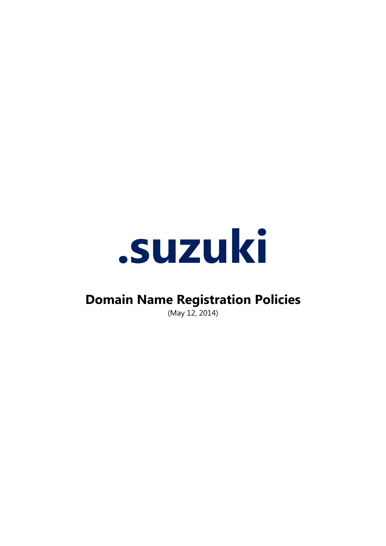

# **Domain Name Registration Policies**

(May 12, 2014)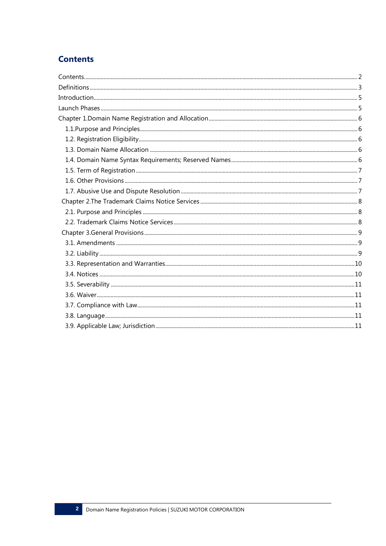# **Contents**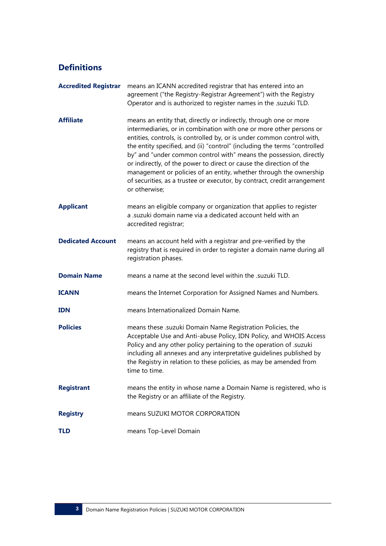# **Definitions**

| <b>Accredited Registrar</b> | means an ICANN accredited registrar that has entered into an<br>agreement ("the Registry-Registrar Agreement") with the Registry<br>Operator and is authorized to register names in the .suzuki TLD.                                                                                                                                                                                                                                                                                                                                                                                                            |
|-----------------------------|-----------------------------------------------------------------------------------------------------------------------------------------------------------------------------------------------------------------------------------------------------------------------------------------------------------------------------------------------------------------------------------------------------------------------------------------------------------------------------------------------------------------------------------------------------------------------------------------------------------------|
| <b>Affiliate</b>            | means an entity that, directly or indirectly, through one or more<br>intermediaries, or in combination with one or more other persons or<br>entities, controls, is controlled by, or is under common control with,<br>the entity specified, and (ii) "control" (including the terms "controlled<br>by" and "under common control with" means the possession, directly<br>or indirectly, of the power to direct or cause the direction of the<br>management or policies of an entity, whether through the ownership<br>of securities, as a trustee or executor, by contract, credit arrangement<br>or otherwise; |
| <b>Applicant</b>            | means an eligible company or organization that applies to register<br>a .suzuki domain name via a dedicated account held with an<br>accredited registrar;                                                                                                                                                                                                                                                                                                                                                                                                                                                       |
| <b>Dedicated Account</b>    | means an account held with a registrar and pre-verified by the<br>registry that is required in order to register a domain name during all<br>registration phases.                                                                                                                                                                                                                                                                                                                                                                                                                                               |
| <b>Domain Name</b>          | means a name at the second level within the .suzuki TLD.                                                                                                                                                                                                                                                                                                                                                                                                                                                                                                                                                        |
| <b>ICANN</b>                | means the Internet Corporation for Assigned Names and Numbers.                                                                                                                                                                                                                                                                                                                                                                                                                                                                                                                                                  |
| <b>IDN</b>                  | means Internationalized Domain Name.                                                                                                                                                                                                                                                                                                                                                                                                                                                                                                                                                                            |
| <b>Policies</b>             | means these .suzuki Domain Name Registration Policies, the<br>Acceptable Use and Anti-abuse Policy, IDN Policy, and WHOIS Access<br>Policy and any other policy pertaining to the operation of .suzuki<br>including all annexes and any interpretative guidelines published by<br>the Registry in relation to these policies, as may be amended from<br>time to time.                                                                                                                                                                                                                                           |
| <b>Registrant</b>           | means the entity in whose name a Domain Name is registered, who is<br>the Registry or an affiliate of the Registry.                                                                                                                                                                                                                                                                                                                                                                                                                                                                                             |
| <b>Registry</b>             | means SUZUKI MOTOR CORPORATION                                                                                                                                                                                                                                                                                                                                                                                                                                                                                                                                                                                  |
| <b>TLD</b>                  | means Top-Level Domain                                                                                                                                                                                                                                                                                                                                                                                                                                                                                                                                                                                          |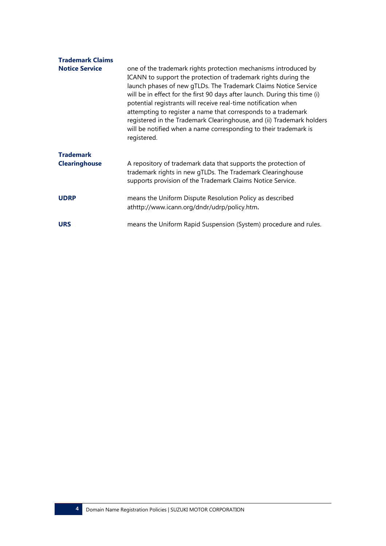| <b>Trademark Claims</b><br><b>Notice Service</b> | one of the trademark rights protection mechanisms introduced by<br>ICANN to support the protection of trademark rights during the<br>launch phases of new gTLDs. The Trademark Claims Notice Service<br>will be in effect for the first 90 days after launch. During this time (i)<br>potential registrants will receive real-time notification when<br>attempting to register a name that corresponds to a trademark<br>registered in the Trademark Clearinghouse, and (ii) Trademark holders<br>will be notified when a name corresponding to their trademark is<br>registered. |
|--------------------------------------------------|-----------------------------------------------------------------------------------------------------------------------------------------------------------------------------------------------------------------------------------------------------------------------------------------------------------------------------------------------------------------------------------------------------------------------------------------------------------------------------------------------------------------------------------------------------------------------------------|
| <b>Trademark</b><br><b>Clearinghouse</b>         | A repository of trademark data that supports the protection of<br>trademark rights in new gTLDs. The Trademark Clearinghouse<br>supports provision of the Trademark Claims Notice Service.                                                                                                                                                                                                                                                                                                                                                                                        |
| <b>UDRP</b>                                      | means the Uniform Dispute Resolution Policy as described<br>athttp://www.icann.org/dndr/udrp/policy.htm.                                                                                                                                                                                                                                                                                                                                                                                                                                                                          |
| <b>URS</b>                                       | means the Uniform Rapid Suspension (System) procedure and rules.                                                                                                                                                                                                                                                                                                                                                                                                                                                                                                                  |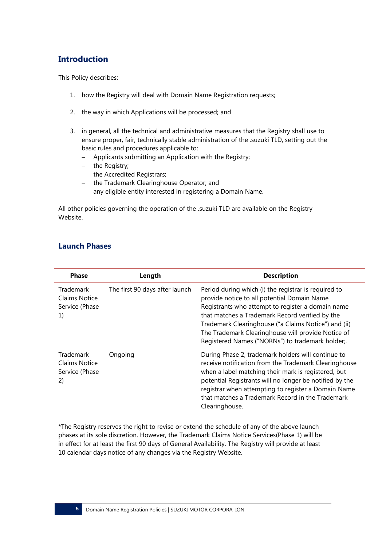# **Introduction**

This Policy describes:

- 1. how the Registry will deal with Domain Name Registration requests;
- 2. the way in which Applications will be processed; and
- 3. in general, all the technical and administrative measures that the Registry shall use to ensure proper, fair, technically stable administration of the .suzuki TLD, setting out the basic rules and procedures applicable to:
	- Applicants submitting an Application with the Registry;
	- $-$  the Registry;
	- the Accredited Registrars;
	- the Trademark Clearinghouse Operator; and
	- any eligible entity interested in registering a Domain Name.

All other policies governing the operation of the .suzuki TLD are available on the Registry Website.

| <b>Phase</b>                                              | Length                         | <b>Description</b>                                                                                                                                                                                                                                                                                                                                                            |
|-----------------------------------------------------------|--------------------------------|-------------------------------------------------------------------------------------------------------------------------------------------------------------------------------------------------------------------------------------------------------------------------------------------------------------------------------------------------------------------------------|
| Trademark<br><b>Claims Notice</b><br>Service (Phase<br>1) | The first 90 days after launch | Period during which (i) the registrar is required to<br>provide notice to all potential Domain Name<br>Registrants who attempt to register a domain name<br>that matches a Trademark Record verified by the<br>Trademark Clearinghouse ("a Claims Notice") and (ii)<br>The Trademark Clearinghouse will provide Notice of<br>Registered Names ("NORNs") to trademark holder;. |
| Trademark<br><b>Claims Notice</b><br>Service (Phase<br>2) | Ongoing                        | During Phase 2, trademark holders will continue to<br>receive notification from the Trademark Clearinghouse<br>when a label matching their mark is registered, but<br>potential Registrants will no longer be notified by the<br>registrar when attempting to register a Domain Name<br>that matches a Trademark Record in the Trademark<br>Clearinghouse.                    |

# **Launch Phases**

\*The Registry reserves the right to revise or extend the schedule of any of the above launch phases at its sole discretion. However, the Trademark Claims Notice Services(Phase 1) will be in effect for at least the first 90 days of General Availability. The Registry will provide at least 10 calendar days notice of any changes via the Registry Website.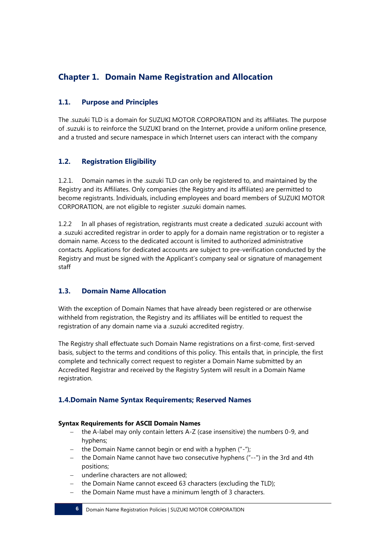# **Chapter 1. Domain Name Registration and Allocation**

# **1.1. Purpose and Principles**

The .suzuki TLD is a domain for SUZUKI MOTOR CORPORATION and its affiliates. The purpose of .suzuki is to reinforce the SUZUKI brand on the Internet, provide a uniform online presence, and a trusted and secure namespace in which Internet users can interact with the company

# **1.2. Registration Eligibility**

1.2.1. Domain names in the .suzuki TLD can only be registered to, and maintained by the Registry and its Affiliates. Only companies (the Registry and its affiliates) are permitted to become registrants. Individuals, including employees and board members of SUZUKI MOTOR CORPORATION, are not eligible to register .suzuki domain names.

1.2.2 In all phases of registration, registrants must create a dedicated .suzuki account with a .suzuki accredited registrar in order to apply for a domain name registration or to register a domain name. Access to the dedicated account is limited to authorized administrative contacts. Applications for dedicated accounts are subject to pre-verification conducted by the Registry and must be signed with the Applicant's company seal or signature of management staff

# **1.3. Domain Name Allocation**

With the exception of Domain Names that have already been registered or are otherwise withheld from registration, the Registry and its affiliates will be entitled to request the registration of any domain name via a .suzuki accredited registry.

The Registry shall effectuate such Domain Name registrations on a first-come, first-served basis, subject to the terms and conditions of this policy. This entails that, in principle, the first complete and technically correct request to register a Domain Name submitted by an Accredited Registrar and received by the Registry System will result in a Domain Name registration.

# **1.4.Domain Name Syntax Requirements; Reserved Names**

### **Syntax Requirements for ASCII Domain Names**

- the A-label may only contain letters A-Z (case insensitive) the numbers 0-9, and hyphens;
- the Domain Name cannot begin or end with a hyphen  $("-")$ ;
- the Domain Name cannot have two consecutive hyphens ("--") in the 3rd and 4th positions;
- underline characters are not allowed;
- the Domain Name cannot exceed 63 characters (excluding the TLD);
- the Domain Name must have a minimum length of 3 characters.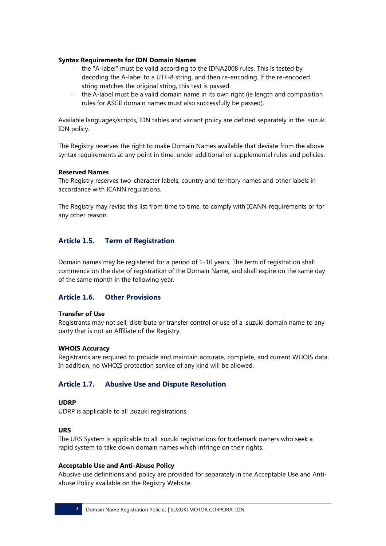#### **Syntax Requirements for IDN Domain Names**

- the "A-label" must be valid according to the IDNA2008 rules. This is tested by decoding the A-label to a UTF-8 string, and then re-encoding. If the re-encoded string matches the original string, this test is passed.
- the A-label must be a valid domain name in its own right (ie length and composition rules for ASCII domain names must also successfully be passed).

Available languages/scripts, IDN tables and variant policy are defined separately in the .suzuki IDN policy.

The Registry reserves the right to make Domain Names available that deviate from the above syntax requirements at any point in time, under additional or supplemental rules and policies.

#### **Reserved Names**

The Registry reserves two-character labels, country and territory names and other labels in accordance with ICANN regulations.

The Registry may revise this list from time to time, to comply with ICANN requirements or for any other reason.

# **Article 1.5. Term of Registration**

Domain names may be registered for a period of 1-10 years. The term of registration shall commence on the date of registration of the Domain Name, and shall expire on the same day of the same month in the following year.

#### **Article 1.6. Other Provisions**

#### **Transfer of Use**

Registrants may not sell, distribute or transfer control or use of a .suzuki domain name to any party that is not an Affiliate of the Registry.

#### **WHOIS Accuracy**

Registrants are required to provide and maintain accurate, complete, and current WHOIS data. In addition, no WHOIS protection service of any kind will be allowed.

#### **Article 1.7. Abusive Use and Dispute Resolution**

#### **UDRP**

UDRP is applicable to all .suzuki registrations.

#### **URS**

The URS System is applicable to all .suzuki registrations for trademark owners who seek a rapid system to take down domain names which infringe on their rights.

#### **Acceptable Use and Anti-Abuse Policy**

Abusive use definitions and policy are provided for separately in the Acceptable Use and Antiabuse Policy available on the Registry Website.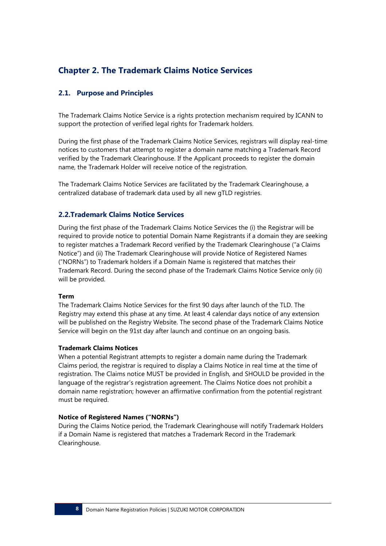# **Chapter 2. The Trademark Claims Notice Services**

# **2.1. Purpose and Principles**

The Trademark Claims Notice Service is a rights protection mechanism required by ICANN to support the protection of verified legal rights for Trademark holders.

During the first phase of the Trademark Claims Notice Services, registrars will display real-time notices to customers that attempt to register a domain name matching a Trademark Record verified by the Trademark Clearinghouse. If the Applicant proceeds to register the domain name, the Trademark Holder will receive notice of the registration.

The Trademark Claims Notice Services are facilitated by the Trademark Clearinghouse, a centralized database of trademark data used by all new gTLD registries.

#### **2.2.Trademark Claims Notice Services**

During the first phase of the Trademark Claims Notice Services the (i) the Registrar will be required to provide notice to potential Domain Name Registrants if a domain they are seeking to register matches a Trademark Record verified by the Trademark Clearinghouse ("a Claims Notice") and (ii) The Trademark Clearinghouse will provide Notice of Registered Names ("NORNs") to Trademark holders if a Domain Name is registered that matches their Trademark Record. During the second phase of the Trademark Claims Notice Service only (ii) will be provided.

#### **Term**

The Trademark Claims Notice Services for the first 90 days after launch of the TLD. The Registry may extend this phase at any time. At least 4 calendar days notice of any extension will be published on the Registry Website. The second phase of the Trademark Claims Notice Service will begin on the 91st day after launch and continue on an ongoing basis.

#### **Trademark Claims Notices**

When a potential Registrant attempts to register a domain name during the Trademark Claims period, the registrar is required to display a Claims Notice in real time at the time of registration. The Claims notice MUST be provided in English, and SHOULD be provided in the language of the registrar's registration agreement. The Claims Notice does not prohibit a domain name registration; however an affirmative confirmation from the potential registrant must be required.

#### **Notice of Registered Names ("NORNs")**

During the Claims Notice period, the Trademark Clearinghouse will notify Trademark Holders if a Domain Name is registered that matches a Trademark Record in the Trademark Clearinghouse.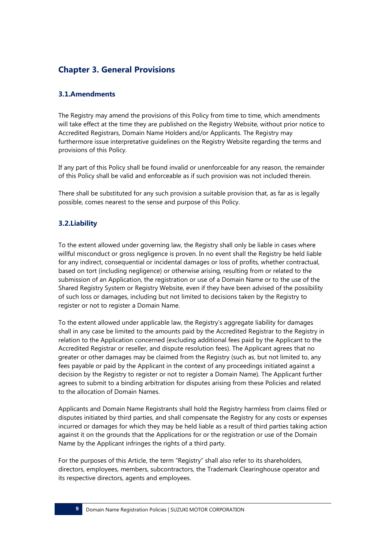# **Chapter 3. General Provisions**

# **3.1.Amendments**

The Registry may amend the provisions of this Policy from time to time, which amendments will take effect at the time they are published on the Registry Website, without prior notice to Accredited Registrars, Domain Name Holders and/or Applicants. The Registry may furthermore issue interpretative guidelines on the Registry Website regarding the terms and provisions of this Policy.

If any part of this Policy shall be found invalid or unenforceable for any reason, the remainder of this Policy shall be valid and enforceable as if such provision was not included therein.

There shall be substituted for any such provision a suitable provision that, as far as is legally possible, comes nearest to the sense and purpose of this Policy.

# **3.2.Liability**

To the extent allowed under governing law, the Registry shall only be liable in cases where willful misconduct or gross negligence is proven. In no event shall the Registry be held liable for any indirect, consequential or incidental damages or loss of profits, whether contractual, based on tort (including negligence) or otherwise arising, resulting from or related to the submission of an Application, the registration or use of a Domain Name or to the use of the Shared Registry System or Registry Website, even if they have been advised of the possibility of such loss or damages, including but not limited to decisions taken by the Registry to register or not to register a Domain Name.

To the extent allowed under applicable law, the Registry's aggregate liability for damages shall in any case be limited to the amounts paid by the Accredited Registrar to the Registry in relation to the Application concerned (excluding additional fees paid by the Applicant to the Accredited Registrar or reseller, and dispute resolution fees). The Applicant agrees that no greater or other damages may be claimed from the Registry (such as, but not limited to, any fees payable or paid by the Applicant in the context of any proceedings initiated against a decision by the Registry to register or not to register a Domain Name). The Applicant further agrees to submit to a binding arbitration for disputes arising from these Policies and related to the allocation of Domain Names.

Applicants and Domain Name Registrants shall hold the Registry harmless from claims filed or disputes initiated by third parties, and shall compensate the Registry for any costs or expenses incurred or damages for which they may be held liable as a result of third parties taking action against it on the grounds that the Applications for or the registration or use of the Domain Name by the Applicant infringes the rights of a third party.

For the purposes of this Article, the term "Registry" shall also refer to its shareholders, directors, employees, members, subcontractors, the Trademark Clearinghouse operator and its respective directors, agents and employees.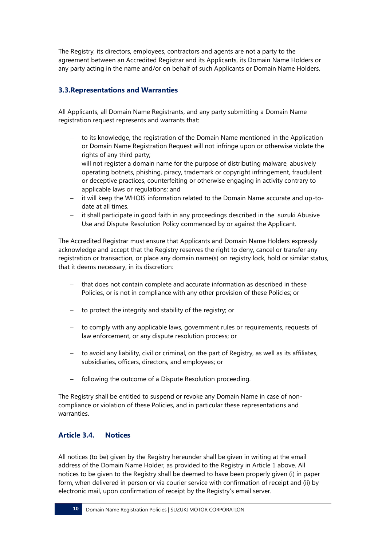The Registry, its directors, employees, contractors and agents are not a party to the agreement between an Accredited Registrar and its Applicants, its Domain Name Holders or any party acting in the name and/or on behalf of such Applicants or Domain Name Holders.

# **3.3.Representations and Warranties**

All Applicants, all Domain Name Registrants, and any party submitting a Domain Name registration request represents and warrants that:

- to its knowledge, the registration of the Domain Name mentioned in the Application or Domain Name Registration Request will not infringe upon or otherwise violate the rights of any third party;
- will not register a domain name for the purpose of distributing malware, abusively operating botnets, phishing, piracy, trademark or copyright infringement, fraudulent or deceptive practices, counterfeiting or otherwise engaging in activity contrary to applicable laws or regulations; and
- it will keep the WHOIS information related to the Domain Name accurate and up-todate at all times.
- it shall participate in good faith in any proceedings described in the .suzuki Abusive Use and Dispute Resolution Policy commenced by or against the Applicant.

The Accredited Registrar must ensure that Applicants and Domain Name Holders expressly acknowledge and accept that the Registry reserves the right to deny, cancel or transfer any registration or transaction, or place any domain name(s) on registry lock, hold or similar status, that it deems necessary, in its discretion:

- that does not contain complete and accurate information as described in these Policies, or is not in compliance with any other provision of these Policies; or
- $-$  to protect the integrity and stability of the registry; or
- to comply with any applicable laws, government rules or requirements, requests of law enforcement, or any dispute resolution process; or
- to avoid any liability, civil or criminal, on the part of Registry, as well as its affiliates, subsidiaries, officers, directors, and employees; or
- following the outcome of a Dispute Resolution proceeding.

The Registry shall be entitled to suspend or revoke any Domain Name in case of noncompliance or violation of these Policies, and in particular these representations and warranties.

### **Article 3.4. Notices**

All notices (to be) given by the Registry hereunder shall be given in writing at the email address of the Domain Name Holder, as provided to the Registry in Article 1 above. All notices to be given to the Registry shall be deemed to have been properly given (i) in paper form, when delivered in person or via courier service with confirmation of receipt and (ii) by electronic mail, upon confirmation of receipt by the Registry's email server.